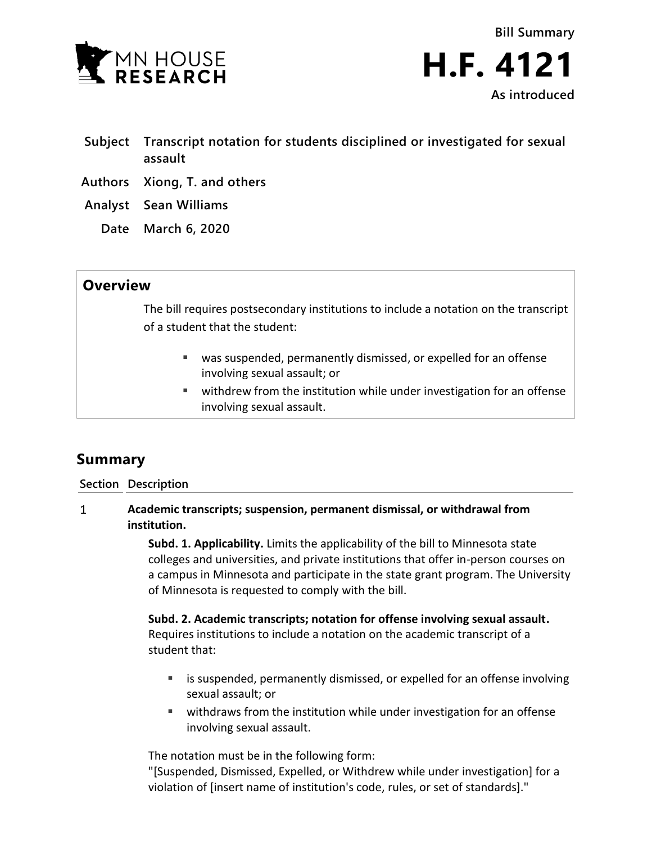

**Bill Summary H.F. 4121 As introduced**

- **Subject Transcript notation for students disciplined or investigated for sexual assault**
- **Authors Xiong, T. and others**

**Analyst Sean Williams**

**Date March 6, 2020**

## **Overview**

The bill requires postsecondary institutions to include a notation on the transcript of a student that the student:

- was suspended, permanently dismissed, or expelled for an offense involving sexual assault; or
- withdrew from the institution while under investigation for an offense involving sexual assault.

## **Summary**

**Section Description**

**Academic transcripts; suspension, permanent dismissal, or withdrawal from**   $\mathbf{1}$ **institution.**

> **Subd. 1. Applicability.** Limits the applicability of the bill to Minnesota state colleges and universities, and private institutions that offer in-person courses on a campus in Minnesota and participate in the state grant program. The University of Minnesota is requested to comply with the bill.

**Subd. 2. Academic transcripts; notation for offense involving sexual assault.** Requires institutions to include a notation on the academic transcript of a student that:

- **EXED** is suspended, permanently dismissed, or expelled for an offense involving sexual assault; or
- withdraws from the institution while under investigation for an offense involving sexual assault.

The notation must be in the following form:

"[Suspended, Dismissed, Expelled, or Withdrew while under investigation] for a violation of [insert name of institution's code, rules, or set of standards]."